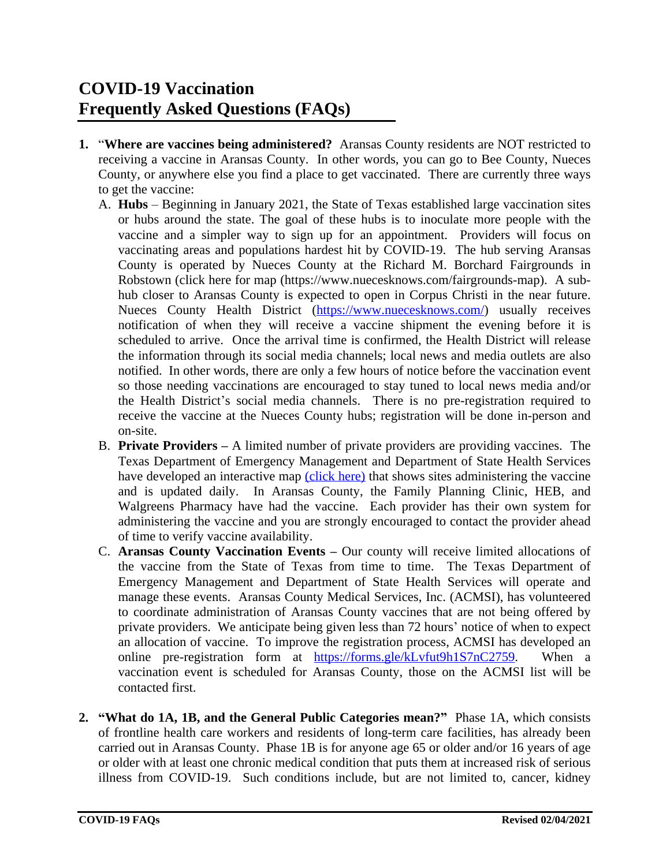## **COVID-19 Vaccination Frequently Asked Questions (FAQs)**

- **1.** "**Where are vaccines being administered?** Aransas County residents are NOT restricted to receiving a vaccine in Aransas County. In other words, you can go to Bee County, Nueces County, or anywhere else you find a place to get vaccinated. There are currently three ways to get the vaccine:
	- A. **Hubs** Beginning in January 2021, the State of Texas established large vaccination sites or hubs around the state. The goal of these hubs is to inoculate more people with the vaccine and a simpler way to sign up for an appointment. Providers will focus on vaccinating areas and populations hardest hit by COVID-19. The hub serving Aransas County is operated by Nueces County at the Richard M. Borchard Fairgrounds in Robstown (click here for map (https://www.nuecesknows.com/fairgrounds-map). A subhub closer to Aransas County is expected to open in Corpus Christi in the near future. Nueces County Health District [\(https://www.nuecesknows.com/\)](https://www.nuecesknows.com/) usually receives notification of when they will receive a vaccine shipment the evening before it is scheduled to arrive. Once the arrival time is confirmed, the Health District will release the information through its social media channels; local news and media outlets are also notified. In other words, there are only a few hours of notice before the vaccination event so those needing vaccinations are encouraged to stay tuned to local news media and/or the Health District's social media channels. There is no pre-registration required to receive the vaccine at the Nueces County hubs; registration will be done in-person and on-site.
	- B. **Private Providers –** A limited number of private providers are providing vaccines. The Texas Department of Emergency Management and Department of State Health Services have developed an interactive map [\(click here\)](https://www.arcgis.com/apps/webappviewer/index.html?id=3700a84845c5470cb0dc3ddace5c376b) that shows sites administering the vaccine and is updated daily. In Aransas County, the Family Planning Clinic, HEB, and Walgreens Pharmacy have had the vaccine. Each provider has their own system for administering the vaccine and you are strongly encouraged to contact the provider ahead of time to verify vaccine availability.
	- C. **Aransas County Vaccination Events –** Our county will receive limited allocations of the vaccine from the State of Texas from time to time. The Texas Department of Emergency Management and Department of State Health Services will operate and manage these events. Aransas County Medical Services, Inc. (ACMSI), has volunteered to coordinate administration of Aransas County vaccines that are not being offered by private providers. We anticipate being given less than 72 hours' notice of when to expect an allocation of vaccine. To improve the registration process, ACMSI has developed an online pre-registration form at [https://forms.gle/kLvfut9h1S7nC2759.](https://forms.gle/kLvfut9h1S7nC2759) When a vaccination event is scheduled for Aransas County, those on the ACMSI list will be contacted first.
- **2. "What do 1A, 1B, and the General Public Categories mean?"** Phase 1A, which consists of frontline health care workers and residents of long-term care facilities, has already been carried out in Aransas County. Phase 1B is for anyone age 65 or older and/or 16 years of age or older with at least one chronic medical condition that puts them at increased risk of serious illness from COVID-19. Such conditions include, but are not limited to, cancer, kidney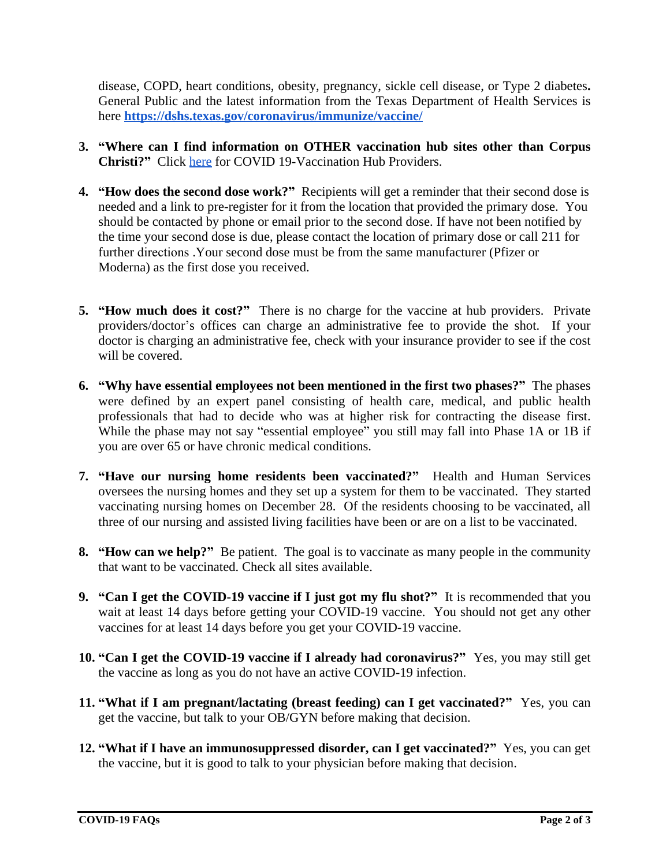disease, COPD, heart conditions, obesity, pregnancy, sickle cell disease, or Type 2 diabetes**.** General Public and the latest information from the Texas Department of Health Services is here **<https://dshs.texas.gov/coronavirus/immunize/vaccine/>**

- **3. "Where can I find information on OTHER vaccination hub sites other than Corpus Christi?"** Click [here](https://dshs.texas.gov/coronavirus/immunize/vaccine-hubs.aspx) for COVID 19-Vaccination Hub Providers.
- **4. "How does the second dose work?"** Recipients will get a reminder that their second dose is needed and a link to pre-register for it from the location that provided the primary dose. You should be contacted by phone or email prior to the second dose. If have not been notified by the time your second dose is due, please contact the location of primary dose or call 211 for further directions .Your second dose must be from the same manufacturer (Pfizer or Moderna) as the first dose you received.
- **5. "How much does it cost?"** There is no charge for the vaccine at hub providers. Private providers/doctor's offices can charge an administrative fee to provide the shot. If your doctor is charging an administrative fee, check with your insurance provider to see if the cost will be covered.
- **6. "Why have essential employees not been mentioned in the first two phases?"** The phases were defined by an expert panel consisting of health care, medical, and public health professionals that had to decide who was at higher risk for contracting the disease first. While the phase may not say "essential employee" you still may fall into Phase 1A or 1B if you are over 65 or have chronic medical conditions.
- **7. "Have our nursing home residents been vaccinated?"** Health and Human Services oversees the nursing homes and they set up a system for them to be vaccinated. They started vaccinating nursing homes on December 28. Of the residents choosing to be vaccinated, all three of our nursing and assisted living facilities have been or are on a list to be vaccinated.
- **8. "How can we help?"** Be patient. The goal is to vaccinate as many people in the community that want to be vaccinated. Check all sites available.
- **9. "Can I get the COVID-19 vaccine if I just got my flu shot?"** It is recommended that you wait at least 14 days before getting your COVID-19 vaccine. You should not get any other vaccines for at least 14 days before you get your COVID-19 vaccine.
- **10. "Can I get the COVID-19 vaccine if I already had coronavirus?"** Yes, you may still get the vaccine as long as you do not have an active COVID-19 infection.
- **11. "What if I am pregnant/lactating (breast feeding) can I get vaccinated?"** Yes, you can get the vaccine, but talk to your OB/GYN before making that decision.
- **12. "What if I have an immunosuppressed disorder, can I get vaccinated?"** Yes, you can get the vaccine, but it is good to talk to your physician before making that decision.